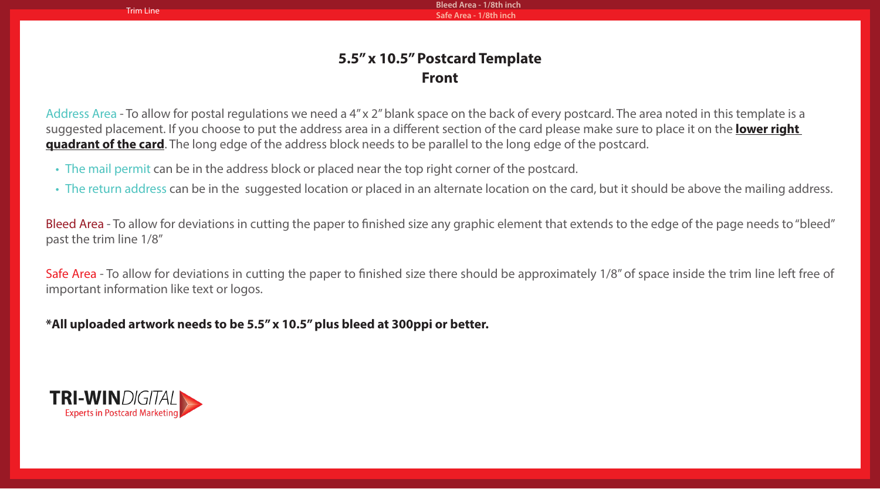**Bleed Area - 1/8th inch** Trim Line **Safe Area - 1/8th inch** 

## **5.5" x 10.5" Postcard Template Front**

Address Area - To allow for postal regulations we need a 4" x 2" blank space on the back of every postcard. The area noted in this template is a suggested placement. If you choose to put the address area in a different section of the card please make sure to place it on the **lower right quadrant of the card**. The long edge of the address block needs to be parallel to the long edge of the postcard.

- The mail permit can be in the address block or placed near the top right corner of the postcard.
- The return address can be in the suggested location or placed in an alternate location on the card, but it should be above the mailing address.

Bleed Area - To allow for deviations in cutting the paper to finished size any graphic element that extends to the edge of the page needs to "bleed" past the trim line 1/8"

Safe Area - To allow for deviations in cutting the paper to finished size there should be approximately 1/8" of space inside the trim line left free of important information like text or logos.

## **\*All uploaded artwork needs to be 5.5" x 10.5" plus bleed at 300ppi or better.**